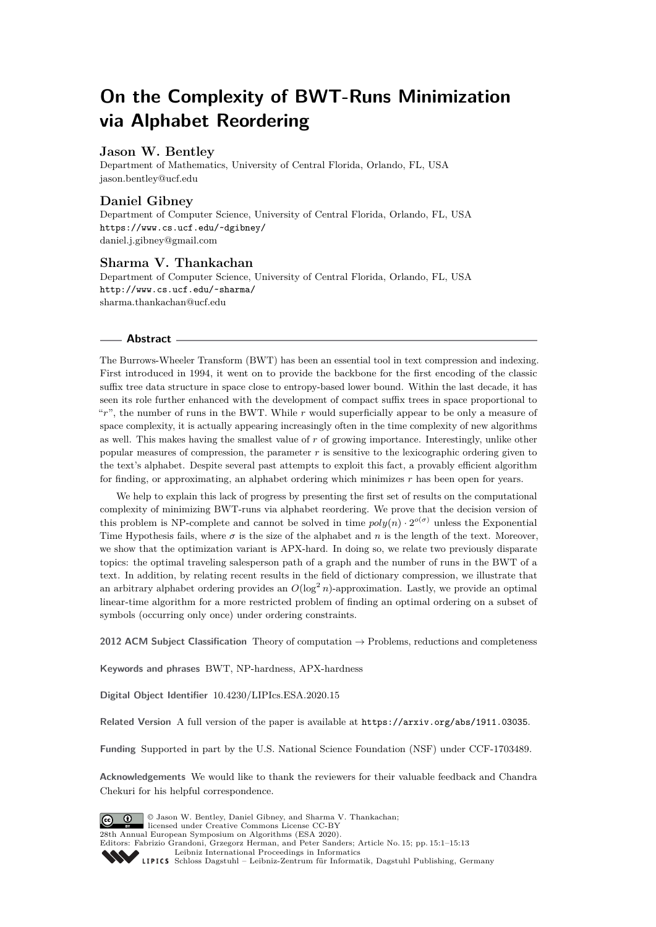# **On the Complexity of BWT-Runs Minimization via Alphabet Reordering**

#### **Jason W. Bentley**

Department of Mathematics, University of Central Florida, Orlando, FL, USA [jason.bentley@ucf.edu](mailto:jason.bentley@ucf.edu)

## **Daniel Gibney**

Department of Computer Science, University of Central Florida, Orlando, FL, USA <https://www.cs.ucf.edu/~dgibney/> [daniel.j.gibney@gmail.com](mailto:daniel.j.gibney@gmail.com)

## **Sharma V. Thankachan**

Department of Computer Science, University of Central Florida, Orlando, FL, USA <http://www.cs.ucf.edu/~sharma/> [sharma.thankachan@ucf.edu](mailto:sharma.thankachan@ucf.edu)

#### **Abstract**

The Burrows-Wheeler Transform (BWT) has been an essential tool in text compression and indexing. First introduced in 1994, it went on to provide the backbone for the first encoding of the classic suffix tree data structure in space close to entropy-based lower bound. Within the last decade, it has seen its role further enhanced with the development of compact suffix trees in space proportional to "*r*", the number of runs in the BWT. While *r* would superficially appear to be only a measure of space complexity, it is actually appearing increasingly often in the time complexity of new algorithms as well. This makes having the smallest value of *r* of growing importance. Interestingly, unlike other popular measures of compression, the parameter *r* is sensitive to the lexicographic ordering given to the text's alphabet. Despite several past attempts to exploit this fact, a provably efficient algorithm for finding, or approximating, an alphabet ordering which minimizes *r* has been open for years.

We help to explain this lack of progress by presenting the first set of results on the computational complexity of minimizing BWT-runs via alphabet reordering. We prove that the decision version of this problem is NP-complete and cannot be solved in time  $poly(n) \cdot 2^{o(\sigma)}$  unless the Exponential Time Hypothesis fails, where *σ* is the size of the alphabet and *n* is the length of the text. Moreover, we show that the optimization variant is APX-hard. In doing so, we relate two previously disparate topics: the optimal traveling salesperson path of a graph and the number of runs in the BWT of a text. In addition, by relating recent results in the field of dictionary compression, we illustrate that an arbitrary alphabet ordering provides an  $O(\log^2 n)$ -approximation. Lastly, we provide an optimal linear-time algorithm for a more restricted problem of finding an optimal ordering on a subset of symbols (occurring only once) under ordering constraints.

**2012 ACM Subject Classification** Theory of computation → Problems, reductions and completeness

**Keywords and phrases** BWT, NP-hardness, APX-hardness

**Digital Object Identifier** [10.4230/LIPIcs.ESA.2020.15](https://doi.org/10.4230/LIPIcs.ESA.2020.15)

Related Version A full version of the paper is available at <https://arxiv.org/abs/1911.03035>.

**Funding** Supported in part by the U.S. National Science Foundation (NSF) under CCF-1703489.

**Acknowledgements** We would like to thank the reviewers for their valuable feedback and Chandra Chekuri for his helpful correspondence.



© Jason W. Bentley, Daniel Gibney, and Sharma V. Thankachan; licensed under Creative Commons License CC-BY 28th Annual European Symposium on Algorithms (ESA 2020). Editors: Fabrizio Grandoni, Grzegorz Herman, and Peter Sanders; Article No. 15; pp. 15:1–15[:13](#page-12-0) [Leibniz International Proceedings in Informatics](https://www.dagstuhl.de/lipics/)

Leibniz International Froceedings in Informatik, Dagstuhl Publishing, Germany<br>LIPICS [Schloss Dagstuhl – Leibniz-Zentrum für Informatik, Dagstuhl Publishing, Germany](https://www.dagstuhl.de)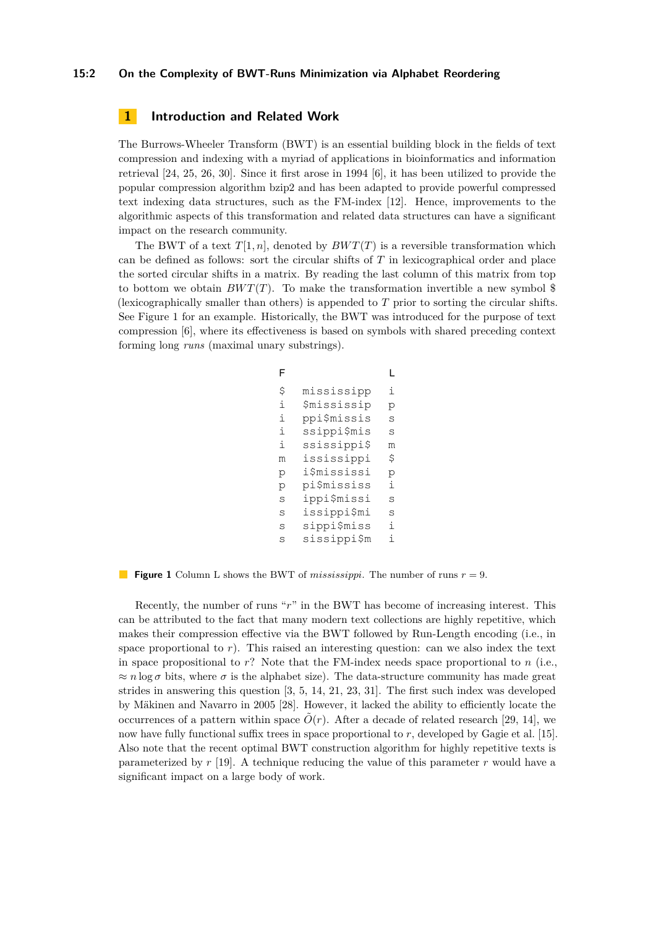#### **15:2 On the Complexity of BWT-Runs Minimization via Alphabet Reordering**

## **1 Introduction and Related Work**

The Burrows-Wheeler Transform (BWT) is an essential building block in the fields of text compression and indexing with a myriad of applications in bioinformatics and information retrieval [\[24,](#page-12-1) [25,](#page-12-2) [26,](#page-12-3) [30\]](#page-12-4). Since it first arose in 1994 [\[6\]](#page-11-0), it has been utilized to provide the popular compression algorithm bzip2 and has been adapted to provide powerful compressed text indexing data structures, such as the FM-index [\[12\]](#page-11-1). Hence, improvements to the algorithmic aspects of this transformation and related data structures can have a significant impact on the research community.

<span id="page-1-0"></span>The BWT of a text  $T[1, n]$ , denoted by  $BWT(T)$  is a reversible transformation which can be defined as follows: sort the circular shifts of *T* in lexicographical order and place the sorted circular shifts in a matrix. By reading the last column of this matrix from top to bottom we obtain  $BWT(T)$ . To make the transformation invertible a new symbol \$ (lexicographically smaller than others) is appended to *T* prior to sorting the circular shifts. See Figure [1](#page-1-0) for an example. Historically, the BWT was introduced for the purpose of text compression [\[6\]](#page-11-0), where its effectiveness is based on symbols with shared preceding context forming long *runs* (maximal unary substrings).

```
mississipp
    $mississip
    ppi$missis
    ssippi$mis
    ssissippi$
    ississippi
    i$mississi
    pi$mississ
    ippi$missi
    issippi$mi
    sippi$miss
    sissippi$m
                  i
                  p
                  s
                  s
                  m
                  \ddot{\mathcal{S}}p
                  i
                  s
                  s
                  i
                  i
$
i
i
i
i
m
p
p
s
s
s
s
F L
```
**Figure 1** Column L shows the BWT of *mississippi*. The number of runs *r* = 9.

Recently, the number of runs "*r*" in the BWT has become of increasing interest. This can be attributed to the fact that many modern text collections are highly repetitive, which makes their compression effective via the BWT followed by Run-Length encoding (i.e., in space proportional to  $r$ ). This raised an interesting question: can we also index the text in space propositional to *r*? Note that the FM-index needs space proportional to *n* (i.e.,  $\approx n \log \sigma$  bits, where  $\sigma$  is the alphabet size). The data-structure community has made great strides in answering this question [\[3,](#page-11-2) [5,](#page-11-3) [14,](#page-11-4) [21,](#page-12-5) [23,](#page-12-6) [31\]](#page-12-7). The first such index was developed by Mäkinen and Navarro in 2005 [\[28\]](#page-12-8). However, it lacked the ability to efficiently locate the occurrences of a pattern within space  $\tilde{O}(r)$ . After a decade of related research [\[29,](#page-12-9) [14\]](#page-11-4), we now have fully functional suffix trees in space proportional to *r*, developed by Gagie et al. [\[15\]](#page-11-5). Also note that the recent optimal BWT construction algorithm for highly repetitive texts is parameterized by *r* [\[19\]](#page-11-6). A technique reducing the value of this parameter *r* would have a significant impact on a large body of work.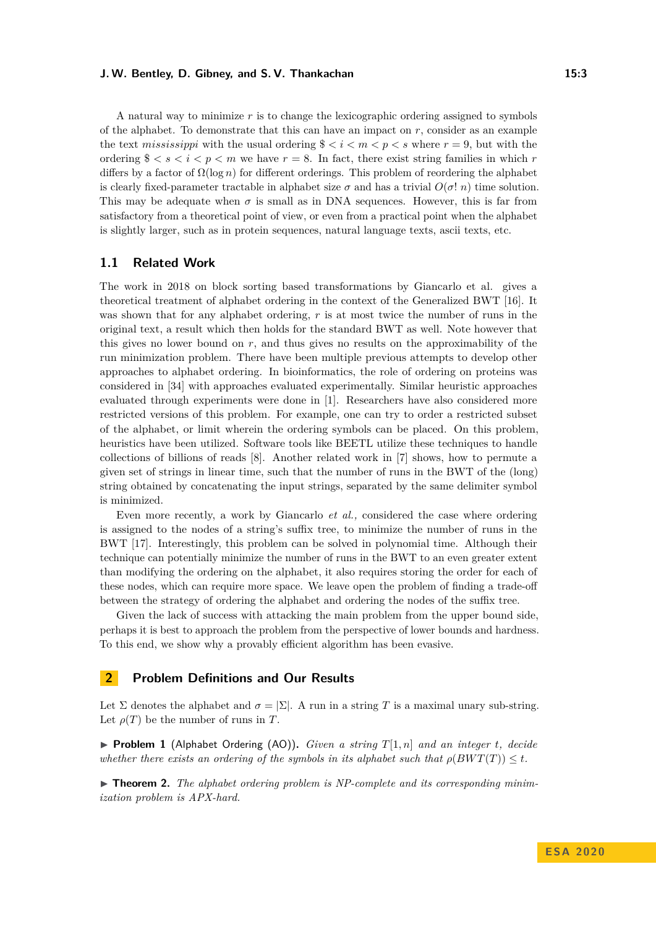A natural way to minimize *r* is to change the lexicographic ordering assigned to symbols of the alphabet. To demonstrate that this can have an impact on  $r$ , consider as an example the text *mississippi* with the usual ordering  $\frac{0}{2} < i < m < p < s$  where  $r = 9$ , but with the ordering  $\frac{1}{2} < s < i < p < m$  we have  $r = 8$ . In fact, there exist string families in which r differs by a factor of  $\Omega(\log n)$  for different orderings. This problem of reordering the alphabet is clearly fixed-parameter tractable in alphabet size  $\sigma$  and has a trivial  $O(\sigma! n)$  time solution. This may be adequate when  $\sigma$  is small as in DNA sequences. However, this is far from satisfactory from a theoretical point of view, or even from a practical point when the alphabet is slightly larger, such as in protein sequences, natural language texts, ascii texts, etc.

## **1.1 Related Work**

The work in 2018 on block sorting based transformations by Giancarlo et al. gives a theoretical treatment of alphabet ordering in the context of the Generalized BWT [\[16\]](#page-11-7). It was shown that for any alphabet ordering, r is at most twice the number of runs in the original text, a result which then holds for the standard BWT as well. Note however that this gives no lower bound on *r*, and thus gives no results on the approximability of the run minimization problem. There have been multiple previous attempts to develop other approaches to alphabet ordering. In bioinformatics, the role of ordering on proteins was considered in [\[34\]](#page-12-10) with approaches evaluated experimentally. Similar heuristic approaches evaluated through experiments were done in [\[1\]](#page-10-0). Researchers have also considered more restricted versions of this problem. For example, one can try to order a restricted subset of the alphabet, or limit wherein the ordering symbols can be placed. On this problem, heuristics have been utilized. Software tools like BEETL utilize these techniques to handle collections of billions of reads [\[8\]](#page-11-8). Another related work in [\[7\]](#page-11-9) shows, how to permute a given set of strings in linear time, such that the number of runs in the BWT of the (long) string obtained by concatenating the input strings, separated by the same delimiter symbol is minimized.

Even more recently, a work by Giancarlo *et al.,* considered the case where ordering is assigned to the nodes of a string's suffix tree, to minimize the number of runs in the BWT [\[17\]](#page-11-10). Interestingly, this problem can be solved in polynomial time. Although their technique can potentially minimize the number of runs in the BWT to an even greater extent than modifying the ordering on the alphabet, it also requires storing the order for each of these nodes, which can require more space. We leave open the problem of finding a trade-off between the strategy of ordering the alphabet and ordering the nodes of the suffix tree.

Given the lack of success with attacking the main problem from the upper bound side, perhaps it is best to approach the problem from the perspective of lower bounds and hardness. To this end, we show why a provably efficient algorithm has been evasive.

## **2 Problem Definitions and Our Results**

Let  $\Sigma$  denotes the alphabet and  $\sigma = |\Sigma|$ . A run in a string *T* is a maximal unary sub-string. Let  $\rho(T)$  be the number of runs in *T*.

 $\blacktriangleright$  **Problem 1** (Alphabet Ordering (AO)), *Given a string*  $T[1, n]$  *and an integer t, decide whether there exists an ordering of the symbols in its alphabet such that*  $\rho(BWT(T)) \leq t$ *.* 

<span id="page-2-0"></span>► **Theorem 2.** The alphabet ordering problem is NP-complete and its corresponding minim*ization problem is APX-hard.*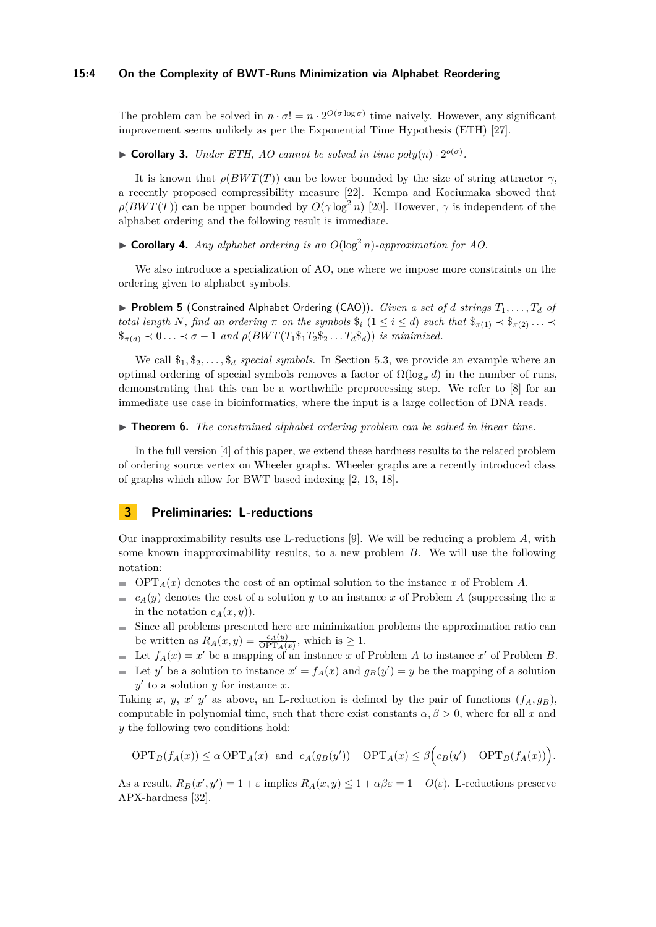#### **15:4 On the Complexity of BWT-Runs Minimization via Alphabet Reordering**

The problem can be solved in  $n \cdot \sigma! = n \cdot 2^{O(\sigma \log \sigma)}$  time naively. However, any significant improvement seems unlikely as per the Exponential Time Hypothesis (ETH) [\[27\]](#page-12-11).

<span id="page-3-0"></span> $\triangleright$  **Corollary 3.** *Under ETH, AO cannot be solved in time*  $poly(n) \cdot 2^{o(\sigma)}$ *.* 

It is known that  $\rho(BWT(T))$  can be lower bounded by the size of string attractor  $\gamma$ , a recently proposed compressibility measure [\[22\]](#page-12-12). Kempa and Kociumaka showed that  $\rho(BWT(T))$  can be upper bounded by  $O(\gamma \log^2 n)$  [\[20\]](#page-12-13). However,  $\gamma$  is independent of the alphabet ordering and the following result is immediate.

 $\triangleright$  **Corollary 4.** *Any alphabet ordering is an O*(log<sup>2</sup> *n*)*-approximation for AO.* 

We also introduce a specialization of AO, one where we impose more constraints on the ordering given to alphabet symbols.

 $\triangleright$  **Problem 5** (Constrained Alphabet Ordering (CAO)). *Given a set of d strings*  $T_1, \ldots, T_d$  *of total length N, find an ordering*  $\pi$  *on the symbols*  $\hat{\mathfrak{s}}_i$  ( $1 \leq i \leq d$ ) *such that*  $\hat{\mathfrak{s}}_{\pi(1)} \prec \hat{\mathfrak{s}}_{\pi(2)} \ldots \prec$  $\oint_{\pi(d)} \prec 0 \ldots \prec \sigma - 1$  and  $\rho(BWT(T_1 \pmb{\hat{B}}_1 T_2 \pmb{\hat{B}}_2 \ldots T_d \pmb{\hat{B}}_d))$  *is minimized.* 

We call  $\$_1, \$_2, \ldots, \$_d$  *special symbols*. In Section [5.3,](#page-10-1) we provide an example where an optimal ordering of special symbols removes a factor of  $\Omega(\log_{\sigma} d)$  in the number of runs, demonstrating that this can be a worthwhile preprocessing step. We refer to [\[8\]](#page-11-8) for an immediate use case in bioinformatics, where the input is a large collection of DNA reads.

► **Theorem 6.** *The constrained alphabet ordering problem can be solved in linear time.* 

In the full version [\[4\]](#page-11-11) of this paper, we extend these hardness results to the related problem of ordering source vertex on Wheeler graphs. Wheeler graphs are a recently introduced class of graphs which allow for BWT based indexing [\[2,](#page-10-2) [13,](#page-11-12) [18\]](#page-11-13).

## **3 Preliminaries: L-reductions**

Our inapproximability results use L-reductions [\[9\]](#page-11-14). We will be reducing a problem *A*, with some known inapproximability results, to a new problem *B*. We will use the following notation:

- $\bullet$  OPT<sub>*A*</sub>(*x*) denotes the cost of an optimal solution to the instance *x* of Problem *A*.
- $\bullet$  *c<sub>A</sub>*(*y*) denotes the cost of a solution *y* to an instance *x* of Problem *A* (suppressing the *x* in the notation  $c_A(x, y)$ .
- Since all problems presented here are minimization problems the approximation ratio can m. be written as  $R_A(x, y) = \frac{c_A(y)}{\text{OPT}_A(x)}$ , which is  $\geq 1$ .
- Let  $f_A(x) = x'$  be a mapping of an instance *x* of Problem *A* to instance *x'* of Problem *B*.
- Let *y*' be a solution to instance  $x' = f_A(x)$  and  $g_B(y') = y$  be the mapping of a solution  $y'$  to a solution  $y$  for instance  $x$ .

Taking *x*, *y*, *x' y'* as above, an L-reduction is defined by the pair of functions  $(f_A, g_B)$ , computable in polynomial time, such that there exist constants  $\alpha, \beta > 0$ , where for all *x* and *y* the following two conditions hold:

$$
\text{OPT}_B(f_A(x)) \le \alpha \text{OPT}_A(x) \text{ and } c_A(g_B(y')) - \text{OPT}_A(x) \le \beta \Big(c_B(y') - \text{OPT}_B(f_A(x))\Big).
$$

As a result,  $R_B(x', y') = 1 + \varepsilon$  implies  $R_A(x, y) \leq 1 + \alpha \beta \varepsilon = 1 + O(\varepsilon)$ . L-reductions preserve APX-hardness [\[32\]](#page-12-14).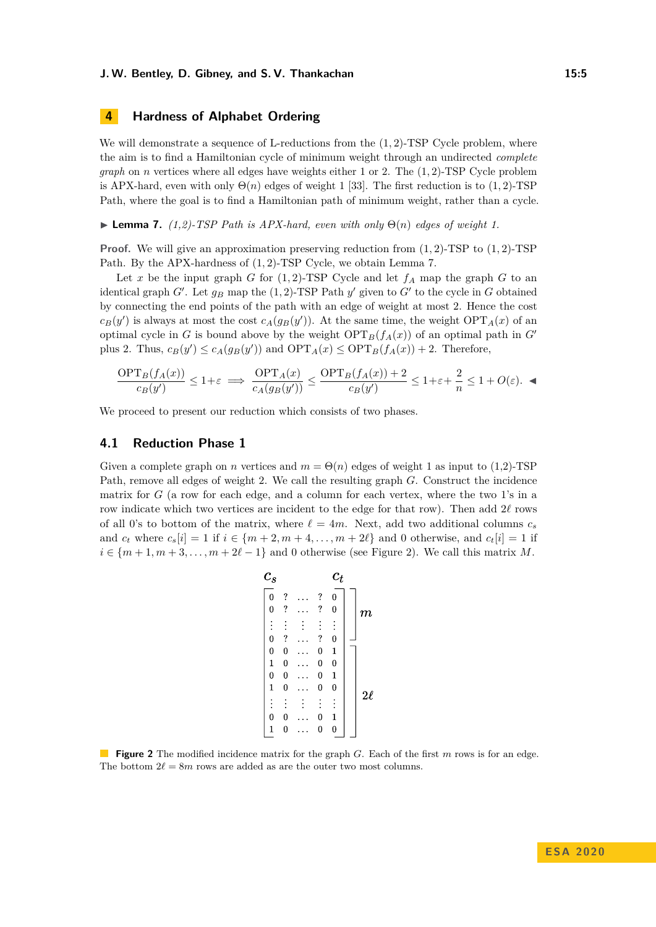# <span id="page-4-2"></span>**4 Hardness of Alphabet Ordering**

We will demonstrate a sequence of L-reductions from the  $(1, 2)$ -TSP Cycle problem, where the aim is to find a Hamiltonian cycle of minimum weight through an undirected *complete graph* on *n* vertices where all edges have weights either 1 or 2. The (1*,* 2)-TSP Cycle problem is APX-hard, even with only  $\Theta(n)$  edges of weight 1 [\[33\]](#page-12-15). The first reduction is to (1, 2)-TSP Path, where the goal is to find a Hamiltonian path of minimum weight, rather than a cycle.

<span id="page-4-0"></span>**I Lemma 7.** (1,2)-TSP Path is APX-hard, even with only  $\Theta(n)$  edges of weight 1.

**Proof.** We will give an approximation preserving reduction from (1*,* 2)-TSP to (1*,* 2)-TSP Path. By the APX-hardness of (1*,* 2)-TSP Cycle, we obtain Lemma [7.](#page-4-0)

Let *x* be the input graph *G* for  $(1, 2)$ -TSP Cycle and let  $f_A$  map the graph *G* to an identical graph  $G'$ . Let  $g_B$  map the  $(1, 2)$ -TSP Path  $y'$  given to  $G'$  to the cycle in  $G$  obtained by connecting the end points of the path with an edge of weight at most 2. Hence the cost  $c_B(y')$  is always at most the cost  $c_A(g_B(y'))$ . At the same time, the weight  $\text{OPT}_A(x)$  of an optimal cycle in *G* is bound above by the weight  $\text{OPT}_B(f_A(x))$  of an optimal path in *G*<sup> $\prime$ </sup> plus 2. Thus,  $c_B(y') \le c_A(g_B(y'))$  and  $\text{OPT}_A(x) \le \text{OPT}_B(f_A(x)) + 2$ . Therefore,

$$
\frac{\text{OPT}_B(f_A(x))}{c_B(y')} \le 1 + \varepsilon \implies \frac{\text{OPT}_A(x)}{c_A(g_B(y'))} \le \frac{\text{OPT}_B(f_A(x)) + 2}{c_B(y')} \le 1 + \varepsilon + \frac{2}{n} \le 1 + O(\varepsilon). \blacktriangleleft
$$

We proceed to present our reduction which consists of two phases.

#### **4.1 Reduction Phase 1**

<span id="page-4-1"></span>Given a complete graph on *n* vertices and  $m = \Theta(n)$  edges of weight 1 as input to (1,2)-TSP Path, remove all edges of weight 2. We call the resulting graph *G*. Construct the incidence matrix for *G* (a row for each edge, and a column for each vertex, where the two 1's in a row indicate which two vertices are incident to the edge for that row). Then add  $2\ell$  rows of all 0's to bottom of the matrix, where  $\ell = 4m$ . Next, add two additional columns  $c_s$ and  $c_t$  where  $c_s[i] = 1$  if  $i \in \{m+2, m+4, \ldots, m+2\ell\}$  and 0 otherwise, and  $c_t[i] = 1$  if  $i \in \{m+1, m+3, \ldots, m+2\ell-1\}$  and 0 otherwise (see Figure [2\)](#page-4-1). We call this matrix *M*.

$$
\begin{array}{c|c|lr}\n\hline\n\mathbf{c}_s & \mathbf{c}_t \\
\hline\n0 & ? & \cdots & ? & 0 \\
\vdots & \vdots & \vdots & \vdots & \vdots \\
0 & ? & \cdots & ? & 0 \\
0 & 0 & \cdots & 0 & 1 \\
1 & 0 & \cdots & 0 & 0 \\
1 & 0 & \cdots & 0 & 0 \\
\vdots & \vdots & \vdots & \vdots & \vdots \\
0 & 0 & \cdots & 0 & 1 \\
1 & 0 & \cdots & 0 & 0 \\
\hline\n\end{array}\n\right]\n\mathbf{Z}\ell
$$

**Figure 2** The modified incidence matrix for the graph *G*. Each of the first *m* rows is for an edge. The bottom  $2\ell = 8m$  rows are added as are the outer two most columns.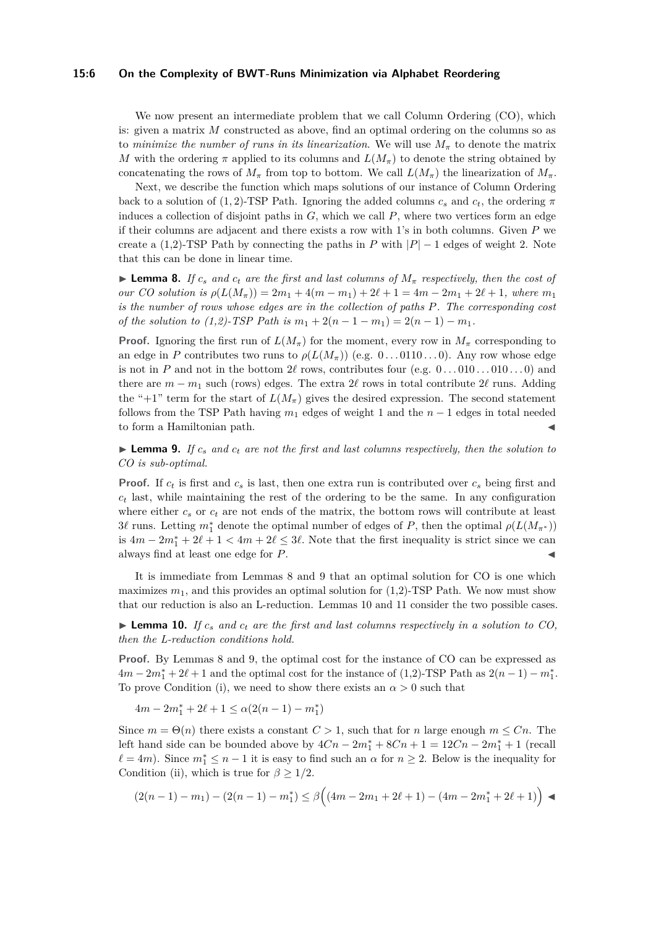#### **15:6 On the Complexity of BWT-Runs Minimization via Alphabet Reordering**

We now present an intermediate problem that we call Column Ordering  $(CO)$ , which is: given a matrix *M* constructed as above, find an optimal ordering on the columns so as to *minimize the number of runs in its linearization.* We will use  $M_{\pi}$  to denote the matrix *M* with the ordering  $\pi$  applied to its columns and  $L(M_{\pi})$  to denote the string obtained by concatenating the rows of  $M_\pi$  from top to bottom. We call  $L(M_\pi)$  the linearization of  $M_\pi$ .

Next, we describe the function which maps solutions of our instance of Column Ordering back to a solution of (1, 2)-TSP Path. Ignoring the added columns  $c_s$  and  $c_t$ , the ordering  $\pi$ induces a collection of disjoint paths in  $G$ , which we call  $P$ , where two vertices form an edge if their columns are adjacent and there exists a row with 1's in both columns. Given *P* we create a (1,2)-TSP Path by connecting the paths in *P* with  $|P| - 1$  edges of weight 2. Note that this can be done in linear time.

<span id="page-5-0"></span>**Lemma 8.** *If*  $c_s$  and  $c_t$  are the first and last columns of  $M_\pi$  respectively, then the cost of  $\omega$ *ur CO* solution is  $\rho(L(M_\pi)) = 2m_1 + 4(m - m_1) + 2\ell + 1 = 4m - 2m_1 + 2\ell + 1$ , where  $m_1$ *is the number of rows whose edges are in the collection of paths P. The corresponding cost of the solution to (1,2)-TSP Path is*  $m_1 + 2(n - 1 - m_1) = 2(n - 1) - m_1$ .

**Proof.** Ignoring the first run of  $L(M_\pi)$  for the moment, every row in  $M_\pi$  corresponding to an edge in *P* contributes two runs to  $\rho(L(M_{\pi}))$  (e.g. 0...0110...0). Any row whose edge is not in *P* and not in the bottom 2 $\ell$  rows, contributes four (e.g.  $0 \ldots 010 \ldots 010 \ldots 0$ ) and there are  $m - m_1$  such (rows) edges. The extra 2 $\ell$  rows in total contribute 2 $\ell$  runs. Adding the "+1" term for the start of  $L(M_\pi)$  gives the desired expression. The second statement follows from the TSP Path having  $m_1$  edges of weight 1 and the  $n-1$  edges in total needed to form a Hamiltonian path.

<span id="page-5-1"></span> $\blacktriangleright$  **Lemma 9.** *If*  $c_s$  *and*  $c_t$  *are not the first and last columns respectively, then the solution to CO is sub-optimal.*

**Proof.** If *c<sup>t</sup>* is first and *c<sup>s</sup>* is last, then one extra run is contributed over *c<sup>s</sup>* being first and  $c<sub>t</sub>$  last, while maintaining the rest of the ordering to be the same. In any configuration where either *c<sup>s</sup>* or *c<sup>t</sup>* are not ends of the matrix, the bottom rows will contribute at least  $3\ell$  runs. Letting  $m_1^*$  denote the optimal number of edges of *P*, then the optimal  $\rho(L(M_{\pi^*}))$ is  $4m - 2m_1^* + 2\ell + 1 < 4m + 2\ell \leq 3\ell$ . Note that the first inequality is strict since we can always find at least one edge for *P*. J

It is immediate from Lemmas [8](#page-5-0) and [9](#page-5-1) that an optimal solution for CO is one which maximizes  $m_1$ , and this provides an optimal solution for  $(1,2)$ -TSP Path. We now must show that our reduction is also an L-reduction. Lemmas [10](#page-5-2) and [11](#page-5-3) consider the two possible cases.

<span id="page-5-2"></span>**Lemma 10.** If  $c_s$  and  $c_t$  are the first and last columns respectively in a solution to CO, *then the L-reduction conditions hold.*

**Proof.** By Lemmas [8](#page-5-0) and [9,](#page-5-1) the optimal cost for the instance of CO can be expressed as  $4m - 2m_1^* + 2\ell + 1$  and the optimal cost for the instance of (1,2)-TSP Path as  $2(n - 1) - m_1^*$ . To prove Condition (i), we need to show there exists an  $\alpha > 0$  such that

 $4m - 2m_1^* + 2\ell + 1 \leq \alpha(2(n - 1) - m_1^*)$ 

Since  $m = \Theta(n)$  there exists a constant  $C > 1$ , such that for *n* large enough  $m \leq Cn$ . The left hand side can be bounded above by  $4Cn - 2m_1^* + 8Cn + 1 = 12Cn - 2m_1^* + 1$  (recall  $\ell = 4m$ ). Since  $m_1^* \leq n-1$  it is easy to find such an  $\alpha$  for  $n \geq 2$ . Below is the inequality for Condition (ii), which is true for  $\beta \geq 1/2$ .

<span id="page-5-3"></span>
$$
(2(n-1)-m_1)-(2(n-1)-m_1^*) \le \beta((4m-2m_1+2\ell+1)-(4m-2m_1^*+2\ell+1)) \blacktriangleleft
$$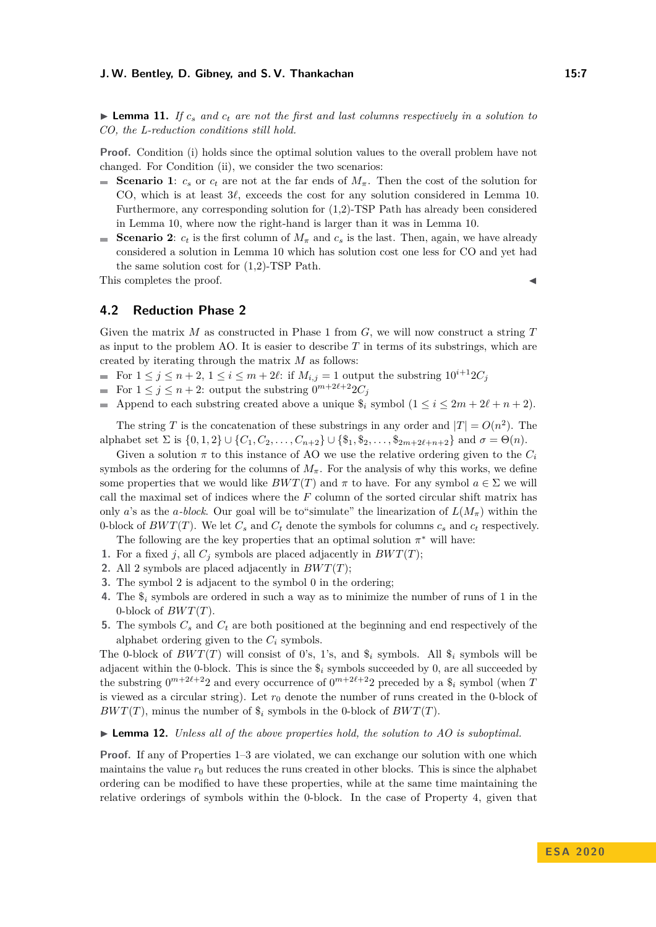**Lemma 11.** If  $c_s$  and  $c_t$  are not the first and last columns respectively in a solution to *CO, the L-reduction conditions still hold.*

**Proof.** Condition (i) holds since the optimal solution values to the overall problem have not changed. For Condition (ii), we consider the two scenarios:

- Scenario 1:  $c_s$  or  $c_t$  are not at the far ends of  $M_\pi$ . Then the cost of the solution for CO, which is at least  $3\ell$ , exceeds the cost for any solution considered in Lemma [10.](#page-5-2) Furthermore, any corresponding solution for (1,2)-TSP Path has already been considered in Lemma [10,](#page-5-2) where now the right-hand is larger than it was in Lemma [10.](#page-5-2)
- **Scenario 2:**  $c_t$  is the first column of  $M_\pi$  and  $c_s$  is the last. Then, again, we have already considered a solution in Lemma [10](#page-5-2) which has solution cost one less for CO and yet had the same solution cost for (1,2)-TSP Path.

This completes the proof.

# **4.2 Reduction Phase 2**

Given the matrix *M* as constructed in Phase 1 from *G*, we will now construct a string *T* as input to the problem AO. It is easier to describe *T* in terms of its substrings, which are created by iterating through the matrix *M* as follows:

- For  $1 \le j \le n+2$ ,  $1 \le i \le m+2\ell$ : if  $M_{i,j} = 1$  output the substring  $10^{i+1}2C_j$
- For  $1 \leq j \leq n+2$ : output the substring  $0^{m+2\ell+2}2C_j$
- Append to each substring created above a unique  $\hat{\mathbf{s}}_i$  symbol  $(1 \leq i \leq 2m + 2\ell + n + 2)$ .

The string *T* is the concatenation of these substrings in any order and  $|T| = O(n^2)$ . The alphabet set  $\Sigma$  is  $\{0, 1, 2\} \cup \{C_1, C_2, \ldots, C_{n+2}\} \cup \{\$\_1, \$\_2, \ldots, \$\_{2m+2\ell+n+2}\}\$  and  $\sigma = \Theta(n)$ .

Given a solution  $\pi$  to this instance of AO we use the relative ordering given to the  $C_i$ symbols as the ordering for the columns of  $M_\pi$ . For the analysis of why this works, we define some properties that we would like  $BWT(T)$  and  $\pi$  to have. For any symbol  $a \in \Sigma$  we will call the maximal set of indices where the *F* column of the sorted circular shift matrix has only *a*'s as the *a*-block. Our goal will be to "simulate" the linearization of  $L(M_\pi)$  within the 0-block of  $BWT(T)$ . We let  $C_s$  and  $C_t$  denote the symbols for columns  $c_s$  and  $c_t$  respectively.

- The following are the key properties that an optimal solution  $\pi^*$  will have:
- **1.** For a fixed *j*, all  $C_j$  symbols are placed adjacently in  $BWT(T)$ ;
- **2.** All 2 symbols are placed adjacently in *BW T*(*T*);
- **3.** The symbol 2 is adjacent to the symbol 0 in the ordering;
- **4.** The \$*<sup>i</sup>* symbols are ordered in such a way as to minimize the number of runs of 1 in the 0-block of  $BWT(T)$ .
- **5.** The symbols *C<sup>s</sup>* and *C<sup>t</sup>* are both positioned at the beginning and end respectively of the alphabet ordering given to the  $C_i$  symbols.

The 0-block of  $BWT(T)$  will consist of 0's, 1's, and  $\hat{\mathcal{S}}_i$  symbols. All  $\hat{\mathcal{S}}_i$  symbols will be adjacent within the 0-block. This is since the  $\hat{\mathbf{s}}_i$  symbols succeeded by 0, are all succeeded by the substring  $0^{m+2\ell+2}2$  and every occurrence of  $0^{m+2\ell+2}2$  preceded by a  $\hat{\mathcal{S}}_i$  symbol (when *T* is viewed as a circular string). Let  $r_0$  denote the number of runs created in the 0-block of *BWT*(*T*), minus the number of  $\hat{\mathcal{S}}_i$  symbols in the 0-block of *BWT*(*T*).

#### <span id="page-6-0"></span>► **Lemma 12.** *Unless all of the above properties hold, the solution to AO is suboptimal.*

**Proof.** If any of Properties 1–3 are violated, we can exchange our solution with one which maintains the value  $r_0$  but reduces the runs created in other blocks. This is since the alphabet ordering can be modified to have these properties, while at the same time maintaining the relative orderings of symbols within the 0-block. In the case of Property 4, given that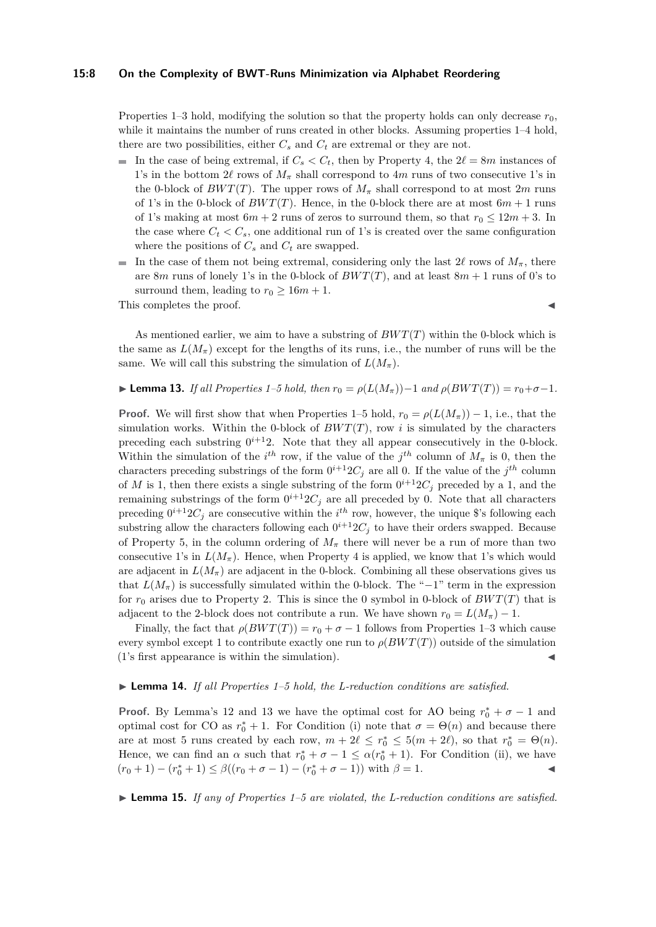#### **15:8 On the Complexity of BWT-Runs Minimization via Alphabet Reordering**

Properties 1–3 hold, modifying the solution so that the property holds can only decrease  $r_0$ , while it maintains the number of runs created in other blocks. Assuming properties  $1-4$  hold, there are two possibilities, either  $C_s$  and  $C_t$  are extremal or they are not.

- In the case of being extremal, if  $C_s < C_t$ , then by Property 4, the  $2\ell = 8m$  instances of 1's in the bottom 2 $\ell$  rows of  $M_\pi$  shall correspond to 4*m* runs of two consecutive 1's in the 0-block of  $BWT(T)$ . The upper rows of  $M<sub>\pi</sub>$  shall correspond to at most 2*m* runs of 1's in the 0-block of  $BWT(T)$ . Hence, in the 0-block there are at most  $6m + 1$  runs of 1's making at most  $6m + 2$  runs of zeros to surround them, so that  $r_0 \leq 12m + 3$ . In the case where  $C_t < C_s$ , one additional run of 1's is created over the same configuration where the positions of  $C_s$  and  $C_t$  are swapped.
- In the case of them not being extremal, considering only the last  $2\ell$  rows of  $M_\pi$ , there m. are 8*m* runs of lonely 1's in the 0-block of  $BWT(T)$ , and at least 8*m* + 1 runs of 0's to surround them, leading to  $r_0 \geq 16m + 1$ .

This completes the proof.

As mentioned earlier, we aim to have a substring of *BW T*(*T*) within the 0-block which is the same as  $L(M_\pi)$  except for the lengths of its runs, i.e., the number of runs will be the same. We will call this substring the simulation of  $L(M_\pi)$ .

#### <span id="page-7-0"></span>► **Lemma 13.** *If all Properties 1–5 hold, then*  $r_0 = \rho(L(M_\pi)) - 1$  *and*  $\rho(BWT(T)) = r_0 + \sigma - 1$ *.*

**Proof.** We will first show that when Properties 1–5 hold,  $r_0 = \rho(L(M_\pi)) - 1$ , i.e., that the simulation works. Within the 0-block of  $BWT(T)$ , row *i* is simulated by the characters preceding each substring  $0^{i+1}2$ . Note that they all appear consecutively in the 0-block. Within the simulation of the  $i^{th}$  row, if the value of the  $j^{th}$  column of  $M_{\pi}$  is 0, then the characters preceding substrings of the form  $0^{i+1}2C_j$  are all 0. If the value of the  $j^{th}$  column of *M* is 1, then there exists a single substring of the form  $0^{i+1}2C_j$  preceded by a 1, and the remaining substrings of the form  $0^{i+1}2C_j$  are all preceded by 0. Note that all characters preceding  $0^{i+1}2C_j$  are consecutive within the  $i^{th}$  row, however, the unique \$'s following each substring allow the characters following each  $0^{i+1}2C_j$  to have their orders swapped. Because of Property 5, in the column ordering of  $M_{\pi}$  there will never be a run of more than two consecutive 1's in  $L(M_\pi)$ . Hence, when Property 4 is applied, we know that 1's which would are adjacent in  $L(M_\pi)$  are adjacent in the 0-block. Combining all these observations gives us that  $L(M_\pi)$  is successfully simulated within the 0-block. The "−1" term in the expression for  $r_0$  arises due to Property 2. This is since the 0 symbol in 0-block of  $BWT(T)$  that is adjacent to the 2-block does not contribute a run. We have shown  $r_0 = L(M_\pi) - 1$ .

Finally, the fact that  $\rho(BWT(T)) = r_0 + \sigma - 1$  follows from Properties 1–3 which cause every symbol except 1 to contribute exactly one run to  $\rho(BWT(T))$  outside of the simulation  $(1's$  first appearance is within the simulation).

#### <span id="page-7-1"></span>► Lemma 14. *If all Properties 1–5 hold, the L-reduction conditions are satisfied.*

**Proof.** By Lemma's [12](#page-6-0) and [13](#page-7-0) we have the optimal cost for AO being  $r_0^* + \sigma - 1$  and optimal cost for CO as  $r_0^* + 1$ . For Condition (i) note that  $\sigma = \Theta(n)$  and because there are at most 5 runs created by each row,  $m + 2\ell \le r_0^* \le 5(m + 2\ell)$ , so that  $r_0^* = \Theta(n)$ . Hence, we can find an  $\alpha$  such that  $r_0^* + \sigma - 1 \leq \alpha (r_0^* + 1)$ . For Condition (ii), we have  $(r_0+1)-(r_0^*+1)$  ≤  $\beta((r_0+\sigma-1)-(r_0^*+\sigma-1))$  with  $\beta=1$ . <br>
■

 $\blacktriangleright$  **Lemma 15.** If any of Properties 1–5 are violated, the L-reduction conditions are satisfied.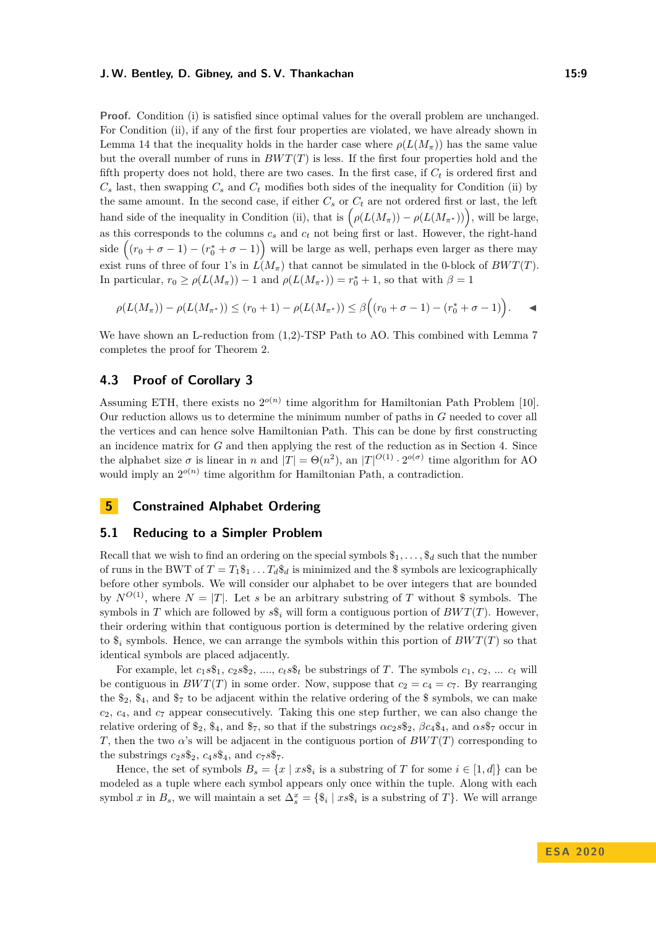**Proof.** Condition (i) is satisfied since optimal values for the overall problem are unchanged. For Condition (ii), if any of the first four properties are violated, we have already shown in Lemma [14](#page-7-1) that the inequality holds in the harder case where  $\rho(L(M_{\pi}))$  has the same value but the overall number of runs in  $BWT(T)$  is less. If the first four properties hold and the fifth property does not hold, there are two cases. In the first case, if *C<sup>t</sup>* is ordered first and  $C_s$  last, then swapping  $C_s$  and  $C_t$  modifies both sides of the inequality for Condition (ii) by the same amount. In the second case, if either  $C_s$  or  $C_t$  are not ordered first or last, the left hand side of the inequality in Condition (ii), that is  $(\rho(L(M_{\pi})) - \rho(L(M_{\pi^*}))$ , will be large, as this corresponds to the columns  $c_s$  and  $c_t$  not being first or last. However, the right-hand side  $((r_0 + \sigma - 1) - (r_0^* + \sigma - 1))$  will be large as well, perhaps even larger as there may exist runs of three of four 1's in  $L(M_\pi)$  that cannot be simulated in the 0-block of  $BWT(T)$ . In particular,  $r_0 \ge \rho(L(M_\pi)) - 1$  and  $\rho(L(M_{\pi^*})) = r_0^* + 1$ , so that with  $\beta = 1$ 

$$
\rho(L(M_{\pi})) - \rho(L(M_{\pi^*})) \le (r_0 + 1) - \rho(L(M_{\pi^*})) \le \beta((r_0 + \sigma - 1) - (r_0^* + \sigma - 1)).
$$

We have shown an L-reduction from  $(1,2)$ -TSP Path to AO. This combined with Lemma [7](#page-4-0) completes the proof for Theorem [2.](#page-2-0)

## **4.3 Proof of Corollary [3](#page-3-0)**

Assuming ETH, there exists no  $2^{o(n)}$  time algorithm for Hamiltonian Path Problem [\[10\]](#page-11-15). Our reduction allows us to determine the minimum number of paths in *G* needed to cover all the vertices and can hence solve Hamiltonian Path. This can be done by first constructing an incidence matrix for *G* and then applying the rest of the reduction as in Section [4.](#page-4-2) Since the alphabet size  $\sigma$  is linear in *n* and  $|T| = \Theta(n^2)$ , an  $|T|^{O(1)} \cdot 2^{o(\sigma)}$  time algorithm for AO would imply an  $2^{o(n)}$  time algorithm for Hamiltonian Path, a contradiction.

## **5 Constrained Alphabet Ordering**

#### **5.1 Reducing to a Simpler Problem**

Recall that we wish to find an ordering on the special symbols  $\mathcal{F}_1, \ldots, \mathcal{F}_d$  such that the number of runs in the BWT of  $T = T_1 \$_1 \dots T_d \$_d$  is minimized and the  $\$$  symbols are lexicographically before other symbols. We will consider our alphabet to be over integers that are bounded by  $N^{O(1)}$ , where  $N = |T|$ . Let *s* be an arbitrary substring of *T* without \$ symbols. The symbols in *T* which are followed by  $s\hat{s}_i$  will form a contiguous portion of  $BWT(T)$ . However, their ordering within that contiguous portion is determined by the relative ordering given to  $\hat{\mathcal{S}}_i$  symbols. Hence, we can arrange the symbols within this portion of  $BWT(T)$  so that identical symbols are placed adjacently.

For example, let  $c_1s\$_1$ ,  $c_2s\$_2$ , ...,  $c_ts\$_t$  be substrings of *T*. The symbols  $c_1$ ,  $c_2$ , ...  $c_t$  will be contiguous in  $BWT(T)$  in some order. Now, suppose that  $c_2 = c_4 = c_7$ . By rearranging the  $\mathcal{L}_2$ ,  $\mathcal{L}_4$ , and  $\mathcal{L}_7$  to be adjacent within the relative ordering of the  $\mathcal{L}_5$  symbols, we can make *c*2, *c*4, and *c*<sup>7</sup> appear consecutively. Taking this one step further, we can also change the relative ordering of  $\$_2$ ,  $\$_4$ , and  $\$_7$ , so that if the substrings  $\alpha c_2 s_{2}$ ,  $\beta c_4 \$_4$ , and  $\alpha s_{7}$  occur in *T*, then the two  $\alpha$ 's will be adjacent in the contiguous portion of  $BWT(T)$  corresponding to the substrings  $c_2s\mathcal{S}_2$ ,  $c_4s\mathcal{S}_4$ , and  $c_7s\mathcal{S}_7$ .

Hence, the set of symbols  $B_s = \{x \mid xs\hat{i}_i \text{ is a substring of } T \text{ for some } i \in [1, d]\}$  can be modeled as a tuple where each symbol appears only once within the tuple. Along with each symbol *x* in  $B_s$ , we will maintain a set  $\Delta_s^x = \{\$\!\!\{s_i \mid xs\$\!\!\{i\}\!\!\}$  is a substring of *T* $\}$ . We will arrange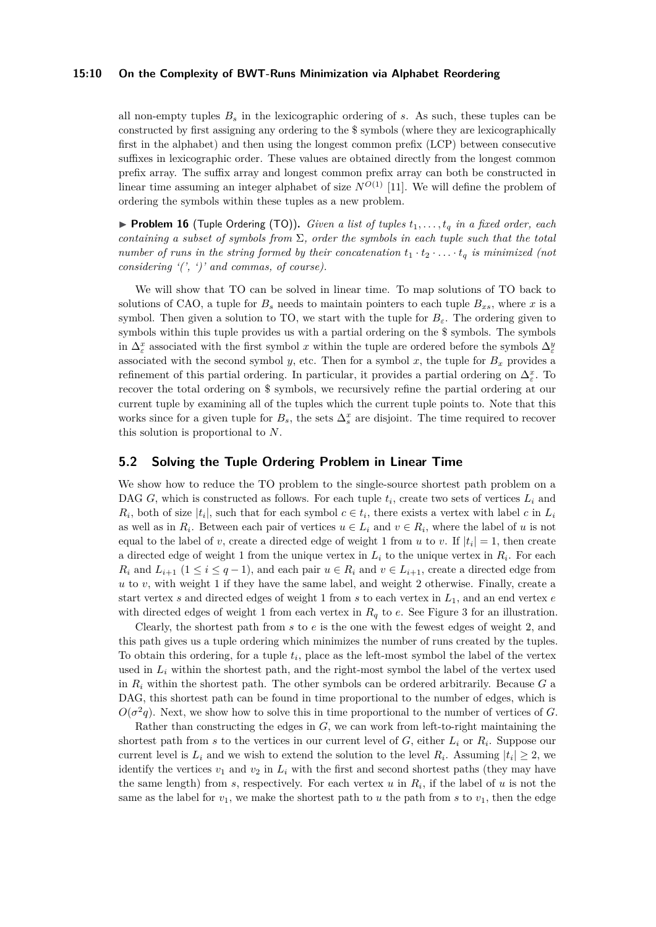#### **15:10 On the Complexity of BWT-Runs Minimization via Alphabet Reordering**

all non-empty tuples  $B_s$  in the lexicographic ordering of  $s$ . As such, these tuples can be constructed by first assigning any ordering to the \$ symbols (where they are lexicographically first in the alphabet) and then using the longest common prefix (LCP) between consecutive suffixes in lexicographic order. These values are obtained directly from the longest common prefix array. The suffix array and longest common prefix array can both be constructed in linear time assuming an integer alphabet of size  $N^{O(1)}$  [\[11\]](#page-11-16). We will define the problem of ordering the symbols within these tuples as a new problem.

**Problem 16** (Tuple Ordering (TO)). *Given a list of tuples*  $t_1, \ldots, t_q$  *in a fixed order, each containing a subset of symbols from* Σ*, order the symbols in each tuple such that the total number of runs in the string formed by their concatenation*  $t_1 \cdot t_2 \cdot \ldots \cdot t_q$  *is minimized (not considering '(', ')' and commas, of course).*

We will show that TO can be solved in linear time. To map solutions of TO back to solutions of CAO, a tuple for  $B_s$  needs to maintain pointers to each tuple  $B_{xs}$ , where x is a symbol. Then given a solution to TO, we start with the tuple for  $B_{\varepsilon}$ . The ordering given to symbols within this tuple provides us with a partial ordering on the \$ symbols. The symbols in  $\Delta^x_\varepsilon$  associated with the first symbol *x* within the tuple are ordered before the symbols  $\Delta^y_\varepsilon$ associated with the second symbol *y*, etc. Then for a symbol *x*, the tuple for  $B_x$  provides a refinement of this partial ordering. In particular, it provides a partial ordering on  $\Delta_{\varepsilon}^{x}$ . To recover the total ordering on \$ symbols, we recursively refine the partial ordering at our current tuple by examining all of the tuples which the current tuple points to. Note that this works since for a given tuple for  $B_s$ , the sets  $\Delta_s^x$  are disjoint. The time required to recover this solution is proportional to *N*.

### **5.2 Solving the Tuple Ordering Problem in Linear Time**

We show how to reduce the TO problem to the single-source shortest path problem on a DAG *G*, which is constructed as follows. For each tuple  $t_i$ , create two sets of vertices  $L_i$  and  $R_i$ , both of size  $|t_i|$ , such that for each symbol  $c \in t_i$ , there exists a vertex with label *c* in  $L_i$ as well as in  $R_i$ . Between each pair of vertices  $u \in L_i$  and  $v \in R_i$ , where the label of *u* is not equal to the label of *v*, create a directed edge of weight 1 from *u* to *v*. If  $|t_i| = 1$ , then create a directed edge of weight 1 from the unique vertex in  $L_i$  to the unique vertex in  $R_i$ . For each *R*<sup>*i*</sup> and  $L_{i+1}$  (1 ≤ *i* ≤ *q* − 1), and each pair  $u \in R_i$  and  $v \in L_{i+1}$ , create a directed edge from  $u$  to  $v$ , with weight 1 if they have the same label, and weight 2 otherwise. Finally, create a start vertex *s* and directed edges of weight 1 from *s* to each vertex in *L*1, and an end vertex *e* with directed edges of weight 1 from each vertex in  $R_q$  to  $e$ . See Figure [3](#page-10-3) for an illustration.

Clearly, the shortest path from *s* to *e* is the one with the fewest edges of weight 2, and this path gives us a tuple ordering which minimizes the number of runs created by the tuples. To obtain this ordering, for a tuple *t<sup>i</sup>* , place as the left-most symbol the label of the vertex used in  $L_i$  within the shortest path, and the right-most symbol the label of the vertex used in  $R_i$  within the shortest path. The other symbols can be ordered arbitrarily. Because  $G$  a DAG, this shortest path can be found in time proportional to the number of edges, which is  $O(\sigma^2 q)$ . Next, we show how to solve this in time proportional to the number of vertices of *G*.

Rather than constructing the edges in *G*, we can work from left-to-right maintaining the shortest path from *s* to the vertices in our current level of  $G$ , either  $L_i$  or  $R_i$ . Suppose our current level is  $L_i$  and we wish to extend the solution to the level  $R_i$ . Assuming  $|t_i| \geq 2$ , we identify the vertices  $v_1$  and  $v_2$  in  $L_i$  with the first and second shortest paths (they may have the same length) from  $s$ , respectively. For each vertex  $u$  in  $R_i$ , if the label of  $u$  is not the same as the label for  $v_1$ , we make the shortest path to  $u$  the path from  $s$  to  $v_1$ , then the edge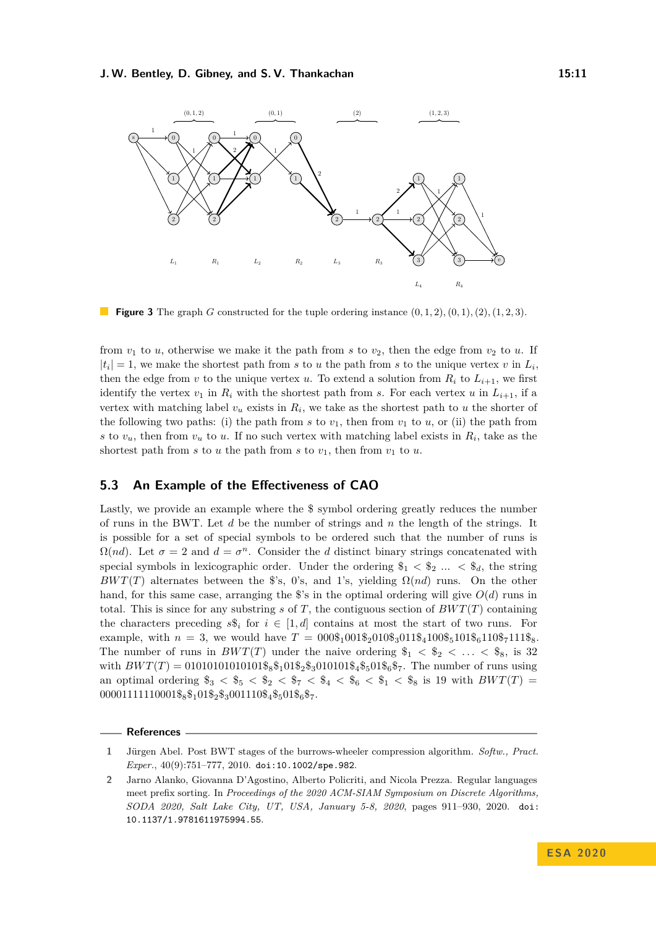<span id="page-10-3"></span>

**Figure 3** The graph *G* constructed for the tuple ordering instance  $(0, 1, 2), (0, 1), (2), (1, 2, 3)$ .

from  $v_1$  to  $u$ , otherwise we make it the path from  $s$  to  $v_2$ , then the edge from  $v_2$  to  $u$ . If  $|t_i| = 1$ , we make the shortest path from *s* to *u* the path from *s* to the unique vertex *v* in  $L_i$ , then the edge from *v* to the unique vertex *u*. To extend a solution from  $R_i$  to  $L_{i+1}$ , we first identify the vertex  $v_1$  in  $R_i$  with the shortest path from *s*. For each vertex *u* in  $L_{i+1}$ , if a vertex with matching label  $v_u$  exists in  $R_i$ , we take as the shortest path to  $u$  the shorter of the following two paths: (i) the path from  $s$  to  $v_1$ , then from  $v_1$  to  $u$ , or (ii) the path from *s* to  $v_u$ , then from  $v_u$  to *u*. If no such vertex with matching label exists in  $R_i$ , take as the shortest path from  $s$  to  $u$  the path from  $s$  to  $v_1$ , then from  $v_1$  to  $u$ .

## <span id="page-10-1"></span>**5.3 An Example of the Effectiveness of CAO**

Lastly, we provide an example where the \$ symbol ordering greatly reduces the number of runs in the BWT. Let *d* be the number of strings and *n* the length of the strings. It is possible for a set of special symbols to be ordered such that the number of runs is  $\Omega(nd)$ . Let  $\sigma = 2$  and  $d = \sigma^n$ . Consider the *d* distinct binary strings concatenated with special symbols in lexicographic order. Under the ordering  $\$_1 < \$_2$  ...  $\lt \$_4$ , the string *BWT*(*T*) alternates between the \$'s, 0's, and 1's, yielding  $\Omega(nd)$  runs. On the other hand, for this same case, arranging the  $\hat{\mathcal{S}}$ 's in the optimal ordering will give  $O(d)$  runs in total. This is since for any substring  $s$  of  $T$ , the contiguous section of  $BWT(T)$  containing the characters preceding  $s\hat{s}_i$  for  $i \in [1, d]$  contains at most the start of two runs. For example, with  $n = 3$ , we would have  $T = 000\frac{1}{2}010\frac{1}{2}010\frac{1}{3}100\frac{1}{5}101\frac{1}{6}110\frac{1}{3}7111\frac{8}{5}$ . The number of runs in  $BWT(T)$  under the naive ordering  $\$_{1} < \$_{2} < ... < \$_{8}$ , is 32 with  $BWT(T) = 01010101010101\_{88}^{\text{}}101\_{28}^{\text{}}3010101\_{84}^{\text{}}\_{501\_{6}^{\text{}}\_{7}$ . The number of runs using an optimal ordering  $\$_3 < \$_5 < \$_2 < \$_7 < \$_4 < \$_6 < \$_1 < \$_8$  is 19 with  $BWT(T)$  $00001111110001\$_8\$_101\$_2\$_3001110\$_4\$_501\$_6\$_7.$ 

#### **References**

<span id="page-10-0"></span>**<sup>1</sup>** Jürgen Abel. Post BWT stages of the burrows-wheeler compression algorithm. *Softw., Pract. Exper.*, 40(9):751–777, 2010. [doi:10.1002/spe.982](https://doi.org/10.1002/spe.982).

<span id="page-10-2"></span>**<sup>2</sup>** Jarno Alanko, Giovanna D'Agostino, Alberto Policriti, and Nicola Prezza. Regular languages meet prefix sorting. In *Proceedings of the 2020 ACM-SIAM Symposium on Discrete Algorithms, SODA 2020, Salt Lake City, UT, USA, January 5-8, 2020*, pages 911–930, 2020. [doi:](https://doi.org/10.1137/1.9781611975994.55) [10.1137/1.9781611975994.55](https://doi.org/10.1137/1.9781611975994.55).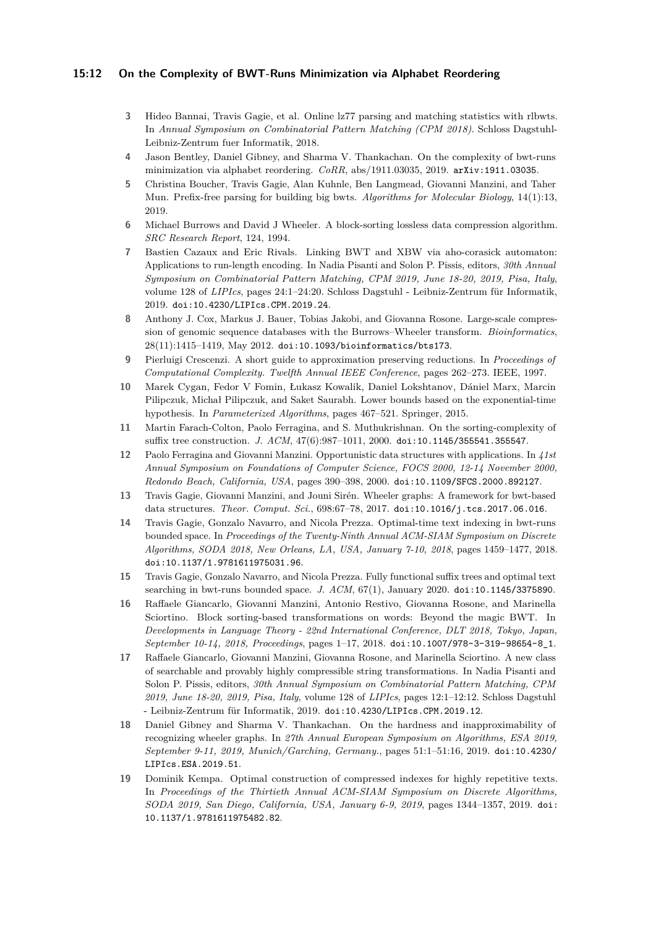#### **15:12 On the Complexity of BWT-Runs Minimization via Alphabet Reordering**

- <span id="page-11-2"></span>**3** Hideo Bannai, Travis Gagie, et al. Online lz77 parsing and matching statistics with rlbwts. In *Annual Symposium on Combinatorial Pattern Matching (CPM 2018)*. Schloss Dagstuhl-Leibniz-Zentrum fuer Informatik, 2018.
- <span id="page-11-11"></span>**4** Jason Bentley, Daniel Gibney, and Sharma V. Thankachan. On the complexity of bwt-runs minimization via alphabet reordering. *CoRR*, abs/1911.03035, 2019. [arXiv:1911.03035](http://arxiv.org/abs/1911.03035).
- <span id="page-11-3"></span>**5** Christina Boucher, Travis Gagie, Alan Kuhnle, Ben Langmead, Giovanni Manzini, and Taher Mun. Prefix-free parsing for building big bwts. *Algorithms for Molecular Biology*, 14(1):13, 2019.
- <span id="page-11-0"></span>**6** Michael Burrows and David J Wheeler. A block-sorting lossless data compression algorithm. *SRC Research Report*, 124, 1994.
- <span id="page-11-9"></span>**7** Bastien Cazaux and Eric Rivals. Linking BWT and XBW via aho-corasick automaton: Applications to run-length encoding. In Nadia Pisanti and Solon P. Pissis, editors, *30th Annual Symposium on Combinatorial Pattern Matching, CPM 2019, June 18-20, 2019, Pisa, Italy*, volume 128 of *LIPIcs*, pages 24:1–24:20. Schloss Dagstuhl - Leibniz-Zentrum für Informatik, 2019. [doi:10.4230/LIPIcs.CPM.2019.24](https://doi.org/10.4230/LIPIcs.CPM.2019.24).
- <span id="page-11-8"></span>**8** Anthony J. Cox, Markus J. Bauer, Tobias Jakobi, and Giovanna Rosone. Large-scale compression of genomic sequence databases with the Burrows–Wheeler transform. *Bioinformatics*, 28(11):1415–1419, May 2012. [doi:10.1093/bioinformatics/bts173](https://doi.org/10.1093/bioinformatics/bts173).
- <span id="page-11-14"></span>**9** Pierluigi Crescenzi. A short guide to approximation preserving reductions. In *Proceedings of Computational Complexity. Twelfth Annual IEEE Conference*, pages 262–273. IEEE, 1997.
- <span id="page-11-15"></span>**10** Marek Cygan, Fedor V Fomin, Łukasz Kowalik, Daniel Lokshtanov, Dániel Marx, Marcin Pilipczuk, Michał Pilipczuk, and Saket Saurabh. Lower bounds based on the exponential-time hypothesis. In *Parameterized Algorithms*, pages 467–521. Springer, 2015.
- <span id="page-11-16"></span>**11** Martin Farach-Colton, Paolo Ferragina, and S. Muthukrishnan. On the sorting-complexity of suffix tree construction. *J. ACM*, 47(6):987–1011, 2000. [doi:10.1145/355541.355547](https://doi.org/10.1145/355541.355547).
- <span id="page-11-1"></span>**12** Paolo Ferragina and Giovanni Manzini. Opportunistic data structures with applications. In *41st Annual Symposium on Foundations of Computer Science, FOCS 2000, 12-14 November 2000, Redondo Beach, California, USA*, pages 390–398, 2000. [doi:10.1109/SFCS.2000.892127](https://doi.org/10.1109/SFCS.2000.892127).
- <span id="page-11-12"></span>**13** Travis Gagie, Giovanni Manzini, and Jouni Sirén. Wheeler graphs: A framework for bwt-based data structures. *Theor. Comput. Sci.*, 698:67–78, 2017. [doi:10.1016/j.tcs.2017.06.016](https://doi.org/10.1016/j.tcs.2017.06.016).
- <span id="page-11-4"></span>**14** Travis Gagie, Gonzalo Navarro, and Nicola Prezza. Optimal-time text indexing in bwt-runs bounded space. In *Proceedings of the Twenty-Ninth Annual ACM-SIAM Symposium on Discrete Algorithms, SODA 2018, New Orleans, LA, USA, January 7-10, 2018*, pages 1459–1477, 2018. [doi:10.1137/1.9781611975031.96](https://doi.org/10.1137/1.9781611975031.96).
- <span id="page-11-5"></span>**15** Travis Gagie, Gonzalo Navarro, and Nicola Prezza. Fully functional suffix trees and optimal text searching in bwt-runs bounded space. *J. ACM*, 67(1), January 2020. [doi:10.1145/3375890](https://doi.org/10.1145/3375890).
- <span id="page-11-7"></span>**16** Raffaele Giancarlo, Giovanni Manzini, Antonio Restivo, Giovanna Rosone, and Marinella Sciortino. Block sorting-based transformations on words: Beyond the magic BWT. In *Developments in Language Theory - 22nd International Conference, DLT 2018, Tokyo, Japan, September 10-14, 2018, Proceedings*, pages 1–17, 2018. [doi:10.1007/978-3-319-98654-8\\_1](https://doi.org/10.1007/978-3-319-98654-8_1).
- <span id="page-11-10"></span>**17** Raffaele Giancarlo, Giovanni Manzini, Giovanna Rosone, and Marinella Sciortino. A new class of searchable and provably highly compressible string transformations. In Nadia Pisanti and Solon P. Pissis, editors, *30th Annual Symposium on Combinatorial Pattern Matching, CPM 2019, June 18-20, 2019, Pisa, Italy*, volume 128 of *LIPIcs*, pages 12:1–12:12. Schloss Dagstuhl - Leibniz-Zentrum für Informatik, 2019. [doi:10.4230/LIPIcs.CPM.2019.12](https://doi.org/10.4230/LIPIcs.CPM.2019.12).
- <span id="page-11-13"></span>**18** Daniel Gibney and Sharma V. Thankachan. On the hardness and inapproximability of recognizing wheeler graphs. In *27th Annual European Symposium on Algorithms, ESA 2019, September 9-11, 2019, Munich/Garching, Germany.*, pages 51:1–51:16, 2019. [doi:10.4230/](https://doi.org/10.4230/LIPIcs.ESA.2019.51) [LIPIcs.ESA.2019.51](https://doi.org/10.4230/LIPIcs.ESA.2019.51).
- <span id="page-11-6"></span>**19** Dominik Kempa. Optimal construction of compressed indexes for highly repetitive texts. In *Proceedings of the Thirtieth Annual ACM-SIAM Symposium on Discrete Algorithms, SODA 2019, San Diego, California, USA, January 6-9, 2019*, pages 1344–1357, 2019. [doi:](https://doi.org/10.1137/1.9781611975482.82) [10.1137/1.9781611975482.82](https://doi.org/10.1137/1.9781611975482.82).